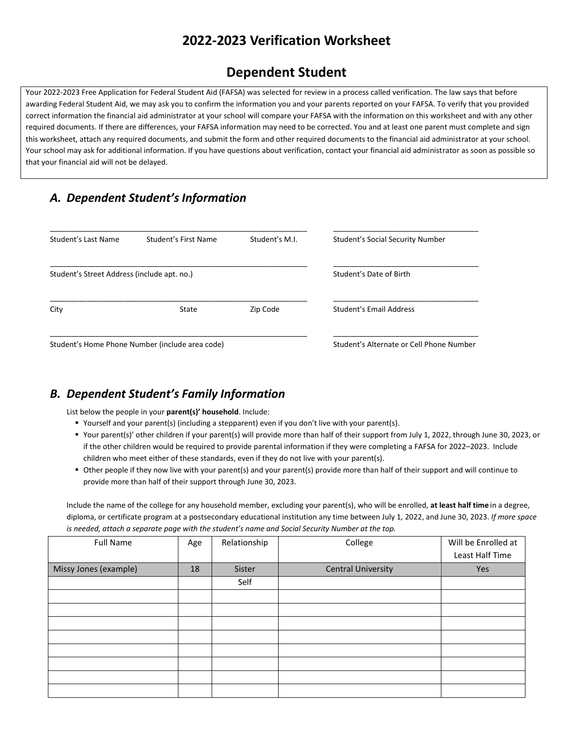## **2022-2023 Verification Worksheet**

# **Dependent Student**

Your 2022-2023 Free Application for Federal Student Aid (FAFSA) was selected for review in a process called verification. The law says that before awarding Federal Student Aid, we may ask you to confirm the information you and your parents reported on your FAFSA. To verify that you provided correct information the financial aid administrator at your school will compare your FAFSA with the information on this worksheet and with any other required documents. If there are differences, your FAFSA information may need to be corrected. You and at least one parent must complete and sign this worksheet, attach any required documents, and submit the form and other required documents to the financial aid administrator at your school. Your school may ask for additional information. If you have questions about verification, contact your financial aid administrator as soon as possible so that your financial aid will not be delayed.

### *A. Dependent Student's Information*

| Student's Last Name                         | Student's First Name                            | Student's M.I.                           | Student's Social Security Number |
|---------------------------------------------|-------------------------------------------------|------------------------------------------|----------------------------------|
| Student's Street Address (include apt. no.) |                                                 | Student's Date of Birth                  |                                  |
| City                                        | State                                           | Zip Code                                 | Student's Email Address          |
|                                             | Student's Home Phone Number (include area code) | Student's Alternate or Cell Phone Number |                                  |

### *B. Dependent Student's Family Information*

List below the people in your **parent(s)' household**. Include:

- Yourself and your parent(s) (including a stepparent) even if you don't live with your parent(s).
- Your parent(s)' other children if your parent(s) will provide more than half of their support from July 1, 2022, through June 30, 2023, or if the other children would be required to provide parental information if they were completing a FAFSA for 2022–2023. Include children who meet either of these standards, even if they do not live with your parent(s).
- Other people if they now live with your parent(s) and your parent(s) provide more than half of their support and will continue to provide more than half of their support through June 30, 2023.

Include the name of the college for any household member, excluding your parent(s), who will be enrolled, **at least half time** in a degree, diploma, or certificate program at a postsecondary educational institution any time between July 1, 2022, and June 30, 2023. *If more space is needed, attach a separate page with the student's name and Social Security Number at the top.*

| <b>Full Name</b>      | Age | Relationship | College                   | Will be Enrolled at |
|-----------------------|-----|--------------|---------------------------|---------------------|
|                       |     |              |                           | Least Half Time     |
| Missy Jones (example) | 18  | Sister       | <b>Central University</b> | Yes                 |
|                       |     | Self         |                           |                     |
|                       |     |              |                           |                     |
|                       |     |              |                           |                     |
|                       |     |              |                           |                     |
|                       |     |              |                           |                     |
|                       |     |              |                           |                     |
|                       |     |              |                           |                     |
|                       |     |              |                           |                     |
|                       |     |              |                           |                     |